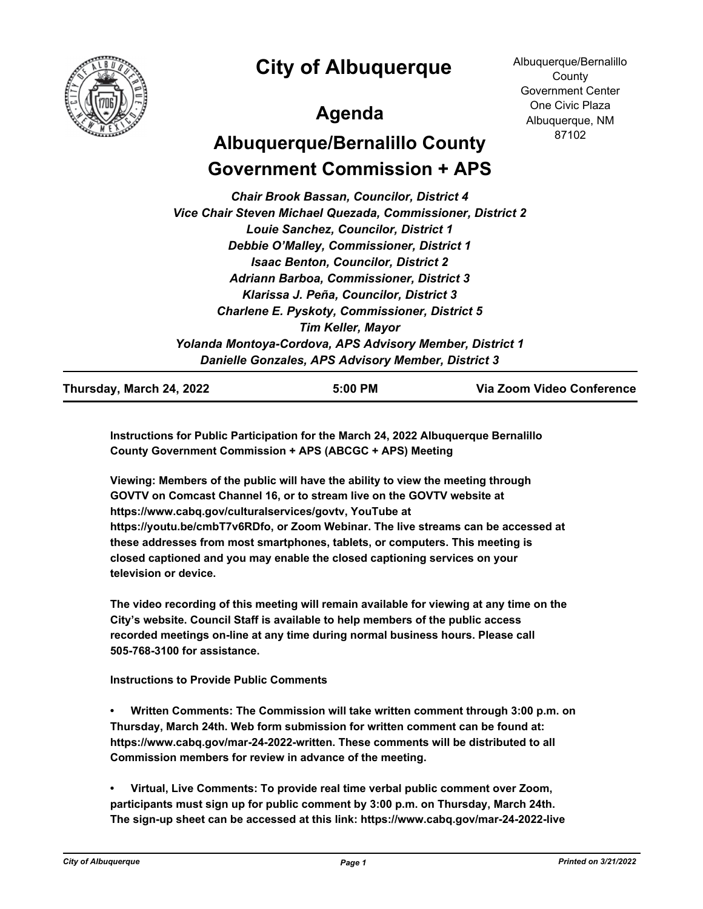

## **City of Albuquerque**

## **Agenda**

Albuquerque/Bernalillo **County** Government Center One Civic Plaza Albuquerque, NM 87102

# **Albuquerque/Bernalillo County Government Commission + APS**

*Chair Brook Bassan, Councilor, District 4 Vice Chair Steven Michael Quezada, Commissioner, District 2 Louie Sanchez, Councilor, District 1 Debbie O'Malley, Commissioner, District 1 Isaac Benton, Councilor, District 2 Adriann Barboa, Commissioner, District 3 Klarissa J. Peña, Councilor, District 3 Charlene E. Pyskoty, Commissioner, District 5 Tim Keller, Mayor Yolanda Montoya-Cordova, APS Advisory Member, District 1 Danielle Gonzales, APS Advisory Member, District 3*

**Thursday, March 24, 2022 5:00 PM Via Zoom Video Conference**

**Instructions for Public Participation for the March 24, 2022 Albuquerque Bernalillo County Government Commission + APS (ABCGC + APS) Meeting**

**Viewing: Members of the public will have the ability to view the meeting through GOVTV on Comcast Channel 16, or to stream live on the GOVTV website at https://www.cabq.gov/culturalservices/govtv, YouTube at https://youtu.be/cmbT7v6RDfo, or Zoom Webinar. The live streams can be accessed at these addresses from most smartphones, tablets, or computers. This meeting is closed captioned and you may enable the closed captioning services on your television or device.**

**The video recording of this meeting will remain available for viewing at any time on the City's website. Council Staff is available to help members of the public access recorded meetings on-line at any time during normal business hours. Please call 505-768-3100 for assistance.**

**Instructions to Provide Public Comments**

**• Written Comments: The Commission will take written comment through 3:00 p.m. on Thursday, March 24th. Web form submission for written comment can be found at: https://www.cabq.gov/mar-24-2022-written. These comments will be distributed to all Commission members for review in advance of the meeting.**

**• Virtual, Live Comments: To provide real time verbal public comment over Zoom, participants must sign up for public comment by 3:00 p.m. on Thursday, March 24th. The sign-up sheet can be accessed at this link: https://www.cabq.gov/mar-24-2022-live**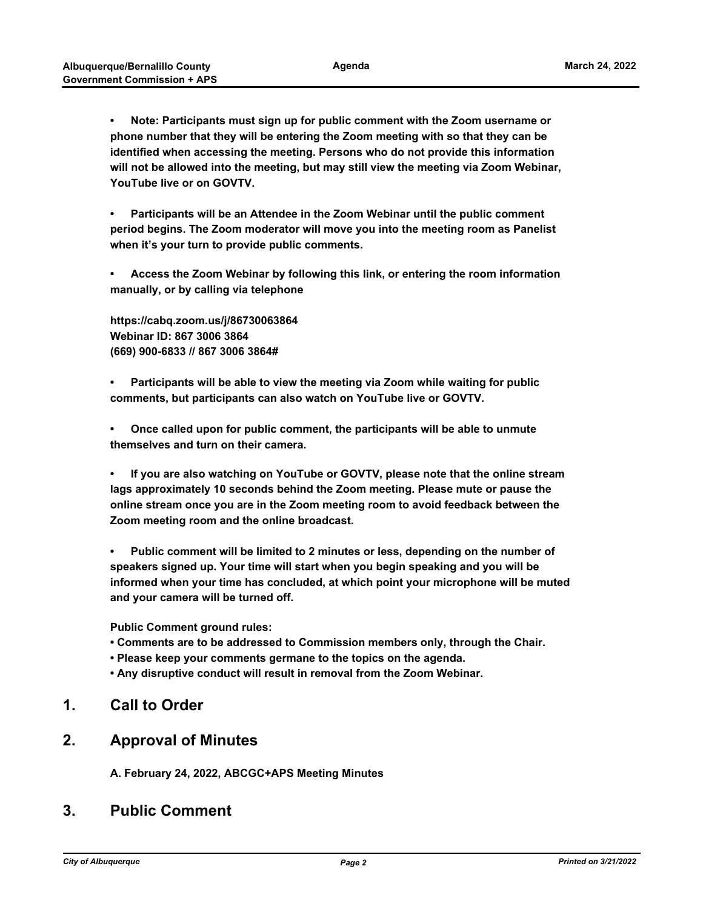**• Note: Participants must sign up for public comment with the Zoom username or phone number that they will be entering the Zoom meeting with so that they can be identified when accessing the meeting. Persons who do not provide this information will not be allowed into the meeting, but may still view the meeting via Zoom Webinar, YouTube live or on GOVTV.** 

**• Participants will be an Attendee in the Zoom Webinar until the public comment period begins. The Zoom moderator will move you into the meeting room as Panelist when it's your turn to provide public comments.**

**• Access the Zoom Webinar by following this link, or entering the room information manually, or by calling via telephone**

**https://cabq.zoom.us/j/86730063864 Webinar ID: 867 3006 3864 (669) 900-6833 // 867 3006 3864#**

**• Participants will be able to view the meeting via Zoom while waiting for public comments, but participants can also watch on YouTube live or GOVTV.**

**• Once called upon for public comment, the participants will be able to unmute themselves and turn on their camera.**

**• If you are also watching on YouTube or GOVTV, please note that the online stream lags approximately 10 seconds behind the Zoom meeting. Please mute or pause the online stream once you are in the Zoom meeting room to avoid feedback between the Zoom meeting room and the online broadcast.**

**• Public comment will be limited to 2 minutes or less, depending on the number of speakers signed up. Your time will start when you begin speaking and you will be informed when your time has concluded, at which point your microphone will be muted and your camera will be turned off.**

**Public Comment ground rules:**

- **Comments are to be addressed to Commission members only, through the Chair.**
- **Please keep your comments germane to the topics on the agenda.**
- **Any disruptive conduct will result in removal from the Zoom Webinar.**

### **1. Call to Order**

### **2. Approval of Minutes**

**A. February 24, 2022, ABCGC+APS Meeting Minutes**

## **3. Public Comment**